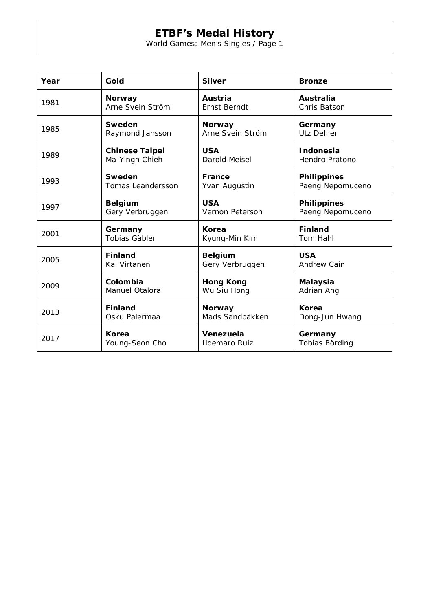## **ETBF's Medal History**

World Games: Men's Singles / Page 1

| Year | Gold                     | <b>Silver</b>          | <b>Bronze</b>      |
|------|--------------------------|------------------------|--------------------|
| 1981 | <b>Norway</b>            | Austria                | Australia          |
|      | Arne Svein Ström         | <b>Ernst Berndt</b>    | Chris Batson       |
| 1985 | Sweden                   | <b>Norway</b>          | Germany            |
|      | Raymond Jansson          | Arne Svein Ström       | Utz Dehler         |
| 1989 | <b>Chinese Taipei</b>    | <b>USA</b>             | Indonesia          |
|      | Ma-Yingh Chieh           | Darold Meisel          | Hendro Pratono     |
| 1993 | Sweden                   | <b>France</b>          | <b>Philippines</b> |
|      | <b>Tomas Leandersson</b> | Yvan Augustin          | Paeng Nepomuceno   |
| 1997 | <b>Belgium</b>           | <b>USA</b>             | <b>Philippines</b> |
|      | Gery Verbruggen          | <b>Vernon Peterson</b> | Paeng Nepomuceno   |
| 2001 | Germany                  | Korea                  | <b>Finland</b>     |
|      | <b>Tobias Gäbler</b>     | Kyung-Min Kim          | Tom Hahl           |
| 2005 | <b>Finland</b>           | <b>Belgium</b>         | <b>USA</b>         |
|      | Kai Virtanen             | Gery Verbruggen        | <b>Andrew Cain</b> |
| 2009 | Colombia                 | <b>Hong Kong</b>       | <b>Malaysia</b>    |
|      | <b>Manuel Otalora</b>    | Wu Siu Hong            | Adrian Ang         |
| 2013 | <b>Finland</b>           | <b>Norway</b>          | Korea              |
|      | Osku Palermaa            | Mads Sandbäkken        | Dong-Jun Hwang     |
| 2017 | <b>Korea</b>             | Venezuela              | Germany            |
|      | Young-Seon Cho           | <b>Ildemaro Ruiz</b>   | Tobias Börding     |